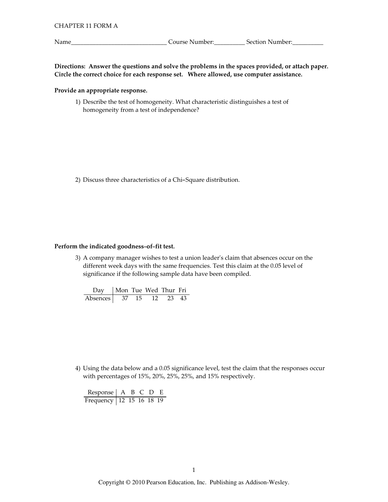Name\_

\_\_\_\_\_\_\_\_\_\_\_\_\_\_\_\_\_\_\_\_\_\_\_\_\_\_\_\_\_\_\_\_\_\_Course Number:\_\_\_\_\_\_\_\_\_\_\_\_\_\_Section Number:\_\_\_\_\_\_\_\_\_\_\_

Directions: Answer the questions and solve the problems in the spaces provided, or attach paper. Circle the correct choice for each response set. Where allowed, use computer assistance.

## Provide an appropriate response.

1) Describe the test of homogeneity. What characteristic distinguishes a test of homogeneity from a test of independence?

2) Discuss three characteristics of a Chi-Square distribution.

## Perform the indicated goodness-of-fit test.

3) A company manager wishes to test a union leader's claim that absences occur on the different week days with the same frequencies. Test this claim at the 0.05 level of significance if the following sample data have been compiled.

| Day   Mon Tue Wed Thur Fri |  |          |  |
|----------------------------|--|----------|--|
| Absences 37 15             |  | 12 23 43 |  |

4) Using the data below and a 0.05 significance level, test the claim that the responses occur with percentages of 15%, 20%, 25%, 25%, and 15% respectively.

Response | A B C D E Frequency 12 15 16 18 19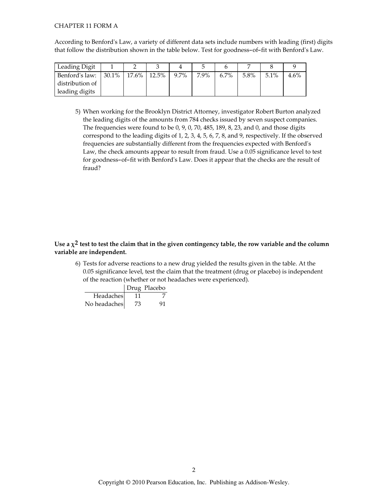#### **CHAPTER 11 FORM A**

According to Benford's Law, a variety of different data sets include numbers with leading (first) digits that follow the distribution shown in the table below. Test for goodness-of-fit with Benford's Law.

| Leading Digit   |                      |         |      |         |      |      |         |
|-----------------|----------------------|---------|------|---------|------|------|---------|
| Benford's law:  | $30.1\%$ 17.6% 12.5% | $9.7\%$ | 7.9% | $6.7\%$ | 5.8% | 5.1% | $4.6\%$ |
| distribution of |                      |         |      |         |      |      |         |
| leading digits  |                      |         |      |         |      |      |         |

5) When working for the Brooklyn District Attorney, investigator Robert Burton analyzed the leading digits of the amounts from 784 checks issued by seven suspect companies. The frequencies were found to be 0, 9, 0, 70, 485, 189, 8, 23, and 0, and those digits correspond to the leading digits of 1, 2, 3, 4, 5, 6, 7, 8, and 9, respectively. If the observed frequencies are substantially different from the frequencies expected with Benford's Law, the check amounts appear to result from fraud. Use a 0.05 significance level to test for goodness-of-fit with Benford's Law. Does it appear that the checks are the result of fraud?

# Use a  $\chi^2$  test to test the claim that in the given contingency table, the row variable and the column variable are independent.

6) Tests for adverse reactions to a new drug yielded the results given in the table. At the 0.05 significance level, test the claim that the treatment (drug or placebo) is independent of the reaction (whether or not headaches were experienced).

|              |    | Drug Placebo |
|--------------|----|--------------|
| Headaches    | 11 |              |
| No headaches | 73 | 91           |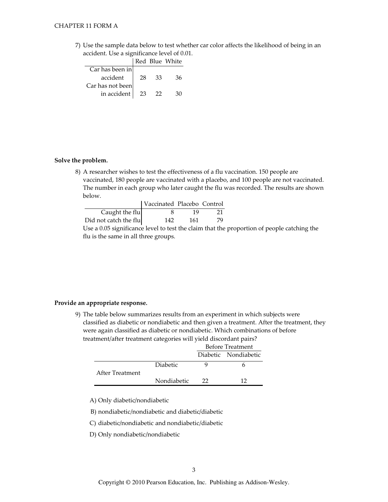7) Use the sample data below to test whether car color affects the likelihood of being in an accident. Use a significance level of 0.01.

|                  |      |    | Red Blue White |
|------------------|------|----|----------------|
| Car has been in  |      |    |                |
| accident         | 28   | 33 | 36             |
| Car has not been |      |    |                |
| in accident      | - 23 | 22 | 30             |

# Solve the problem.

8) A researcher wishes to test the effectiveness of a flu vaccination. 150 people are vaccinated, 180 people are vaccinated with a placebo, and 100 people are not vaccinated. The number in each group who later caught the flu was recorded. The results are shown below.

|                                                               | Vaccinated Placebo Control |     |    |  |
|---------------------------------------------------------------|----------------------------|-----|----|--|
| Caught the flu                                                |                            | 19  |    |  |
| Did not catch the flu $\vert$                                 | 142                        | 161 | 79 |  |
| Use a 0.05 significance level to test the claim that the prop |                            |     |    |  |

Use a 0.05 significance level to test the claim that the proportion of people catching the flu is the same in all three groups.

## Provide an appropriate response.

9) The table below summarizes results from an experiment in which subjects were classified as diabetic or nondiabetic and then given a treatment. After the treatment, they were again classified as diabetic or nondiabetic. Which combinations of before treatment/after treatment categories will yield discordant pairs?

|                 |                 | Before Treatment     |    |  |
|-----------------|-----------------|----------------------|----|--|
|                 |                 | Diabetic Nondiabetic |    |  |
|                 | <b>Diabetic</b> |                      |    |  |
| After Treatment |                 |                      |    |  |
|                 | Nondiabetic     | つつ                   | 12 |  |

A) Only diabetic/nondiabetic

B) nondiabetic/nondiabetic and diabetic/diabetic

C) diabetic/nondiabetic and nondiabetic/diabetic

D) Only nondiabetic/nondiabetic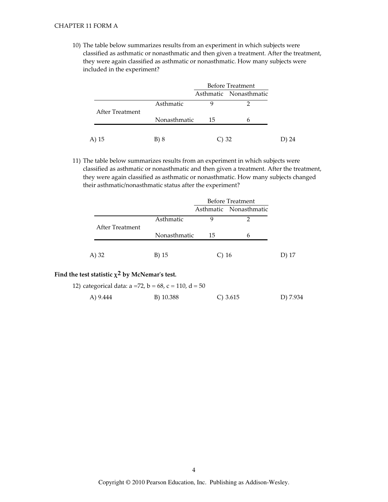#### **CHAPTER 11 FORM A**

10) The table below summarizes results from an experiment in which subjects were classified as asthmatic or nonasthmatic and then given a treatment. After the treatment, they were again classified as asthmatic or nonasthmatic. How many subjects were included in the experiment?

|                 |              |    | <b>Before Treatment</b> |
|-----------------|--------------|----|-------------------------|
|                 |              |    | Asthmatic Nonasthmatic  |
|                 | Asthmatic    |    |                         |
| After Treatment | Nonasthmatic | 15 | 6                       |
|                 |              |    |                         |
| A)<br>15        | B) 8         |    | 32                      |

11) The table below summarizes results from an experiment in which subjects were classified as asthmatic or nonasthmatic and then given a treatment. After the treatment, they were again classified as asthmatic or nonasthmatic. How many subjects changed their asthmatic/nonasthmatic status after the experiment?

|                 |              | <b>Before Treatment</b> |                        |       |
|-----------------|--------------|-------------------------|------------------------|-------|
|                 |              |                         | Asthmatic Nonasthmatic |       |
| After Treatment | Asthmatic    | q                       |                        |       |
|                 | Nonasthmatic | 15                      | 6                      |       |
| A) 32           | B) 15        | $C$ ) 16                |                        | D) 17 |

# Find the test statistic  $\chi^2$  by McNemar's test.

12) categorical data:  $a = 72$ ,  $b = 68$ ,  $c = 110$ ,  $d = 50$ A) 9.444  $C) 3.615$ D) 7.934 B) 10.388